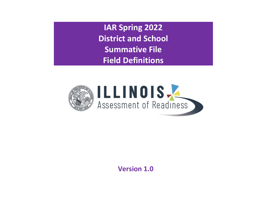**IAR Spring 2022 District and School Summative File Field Definitions**



**Version 1.0**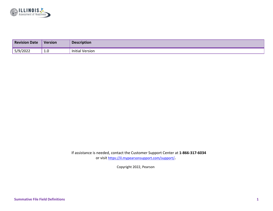

| <b>Revision Date</b> | <b>Version</b> | <b>Description</b>     |
|----------------------|----------------|------------------------|
| 5/9/2022             | <b>T.A</b>     | <b>Initial Version</b> |

If assistance is needed, contact the Customer Support Center at **1-866-317-6034**  or visit<https://il.mypearsonsupport.com/support/>**.** 

Copyright 2022, Pearson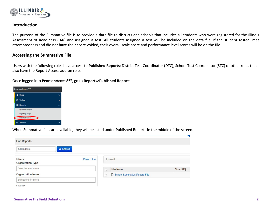

## **Introduction**

The purpose of the Summative file is to provide a data file to districts and schools that includes all students who were registered for the Illinois Assessment of Readiness (IAR) and assigned a test. All students assigned a test will be included on the data file. If the student tested, met attemptedness and did not have their score voided, their overall scale score and performance level scores will be on the file.

## **Accessing the Summative File**

Users with the following roles have access to **Published Reports**: District Test Coordinator (DTC), School Test Coordinator (STC) or other roles that also have the Report Access add-on role.

Once logged into **PearsonAccessnext**, go to **Reports>Published Reports**



When Summative files are available, they will be listed under Published Reports in the middle of the screen.

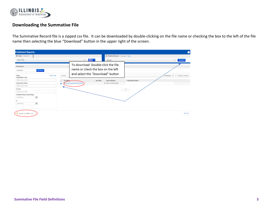

## **Downloading the Summative File**

The Summative Record file is a zipped csv file. It can be downloaded by double-clicking on the file name or checking the box to the left of the file name then selecting the blue "Download" button in the upper right of the screen.

| <b>Published Reports</b>                        |            |           |                                    |                                              |                          | ٠                                |
|-------------------------------------------------|------------|-----------|------------------------------------|----------------------------------------------|--------------------------|----------------------------------|
| <b>El Tasks</b> 0 Salacted                      |            |           |                                    | <b>ED Published Reports</b> 1 Selected Clear |                          |                                  |
| Select Tasks                                    |            |           | $\bullet$ Suit $\bullet$           | Manage                                       |                          | Download                         |
| <b>Find Reports</b>                             |            |           | To download: Double-click the file |                                              |                          |                                  |
| Q Search<br>currenative                         |            |           | name or check the box on the left  |                                              |                          |                                  |
| <b>Elborn</b><br>Organization Type              | Clear Hide | 1 Result  | and select the "Download" button   |                                              |                          | Displaying 25 v Manage Columns - |
| Salact one or more                              |            | File Name | Size (KII)                         | <b>Date Published</b>                        | <b>Organization Name</b> |                                  |
| Organization Name                               |            | ۰         | School Summative Record File       | 45 2021-11-30 09:42 AM                       |                          |                                  |
| Select one or more                              |            |           |                                    |                                              |                          |                                  |
| Groups                                          |            |           |                                    |                                              | $\kappa=1-\kappa$        |                                  |
| Select one or more                              |            |           |                                    |                                              |                          |                                  |
| Published Report Date Range                     |            |           |                                    |                                              |                          |                                  |
| mmiddlyyyy<br>曲                                 |            |           |                                    |                                              |                          |                                  |
| to.                                             |            |           |                                    |                                              |                          |                                  |
| $\mathfrak{m}$<br>mmiddlyssy                    |            |           |                                    |                                              |                          |                                  |
|                                                 |            |           |                                    |                                              |                          |                                  |
|                                                 |            |           |                                    |                                              |                          |                                  |
| pcspr21_tL-030680pp<br>$\mathcal{M}_\mathrm{c}$ |            |           |                                    |                                              |                          | Show all                         |
|                                                 |            |           |                                    |                                              |                          |                                  |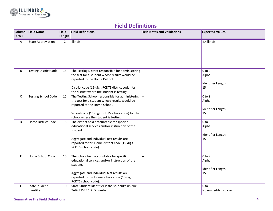

## **Field Definitions**

| Column<br>Letter | <b>Field Name</b>                  | Field<br>Length | <b>Field Definitions</b>                                                                                                                                                                                                                   | <b>Field Notes and Validations</b> | <b>Expected Values</b>                                         |
|------------------|------------------------------------|-----------------|--------------------------------------------------------------------------------------------------------------------------------------------------------------------------------------------------------------------------------------------|------------------------------------|----------------------------------------------------------------|
| A                | <b>State Abbreviation</b>          | $\overline{2}$  | Illinois                                                                                                                                                                                                                                   |                                    | IL=Illinois                                                    |
| B                | <b>Testing District Code</b>       | 15              | The Testing District responsible for administering --<br>the test for a student whose results would be<br>reported to the Home District.<br>District code (15-digit RCDTS district code) for<br>the district where the student is testing. |                                    | 0 <sub>to 9</sub><br>Alpha<br>Identifier Length:<br>$\vert$ 15 |
| $\mathsf{C}$     | <b>Testing School Code</b>         | 15              | The Testing School responsible for administering<br>the test for a student whose results would be<br>reported to the Home School.<br>School code (15-digit RCDTS school code) for the<br>school where the student is testing.              |                                    | 0 <sub>to 9</sub><br>Alpha<br>Identifier Length:<br>15         |
| D                | Home District Code                 | 15              | The district held accountable for specific<br>educational services and/or instruction of the<br>student.<br>Aggregate and individual test results are<br>reported to this Home district code (15-digit<br>RCDTS school code).              |                                    | 0 <sub>to 9</sub><br>Alpha<br>Identifier Length:<br>15         |
| $\mathsf E$      | Home School Code                   | 15              | The school held accountable for specific<br>educational services and/or instruction of the<br>student.<br>Aggregate and individual test results are<br>reported to this Home school code (15-digit<br>RCDTS school code).                  |                                    | 0 <sub>to 9</sub><br>Alpha<br>Identifier Length:<br>15         |
| F                | <b>State Student</b><br>Identifier | 10              | State Student Identifier is the student's unique<br>9-digit ISBE SIS ID number.                                                                                                                                                            |                                    | 0 <sub>to 9</sub><br>No embedded spaces                        |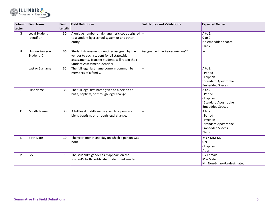

| Column<br>Letter | <b>Field Name</b>                   | Field<br>Length | <b>Field Definitions</b>                                                                                                                                                        | <b>Field Notes and Validations</b>              | <b>Expected Values</b>                                                                               |
|------------------|-------------------------------------|-----------------|---------------------------------------------------------------------------------------------------------------------------------------------------------------------------------|-------------------------------------------------|------------------------------------------------------------------------------------------------------|
| $\overline{G}$   | Local Student<br>Identifier         | 30              | A unique number or alphanumeric code assigned --<br>to a student by a school system or any other<br>entity.                                                                     |                                                 | A to Z<br>$0$ to $9$<br>No embedded spaces<br><b>Blank</b>                                           |
| H                | <b>Unique Pearson</b><br>Student ID | 36              | Student Assessment Identifier assigned by the<br>vendor to each student for all statewide<br>assessments. Transfer students will retain their<br>Student Assessment Identifier. | Assigned within PearsonAccess <sup>next</sup> . | $\overline{\phantom{a}}$                                                                             |
|                  | Last or Surname                     | 35              | The full legal last name borne in common by<br>members of a family.                                                                                                             |                                                 | A to Z<br>Period<br>- Hyphen<br><b>Standard Apostrophe</b><br><b>Embedded Spaces</b>                 |
| J                | <b>First Name</b>                   | 35              | The full legal first name given to a person at<br>birth, baptism, or through legal change.                                                                                      | $\overline{\phantom{a}}$                        | A to Z<br>Period<br>- Hyphen<br><b>Standard Apostrophe</b><br><b>Embedded Spaces</b>                 |
| К                | Middle Name                         | 35              | A full legal middle name given to a person at<br>birth, baptism, or through legal change.                                                                                       |                                                 | A to Z<br>Period<br>- Hyphen<br><b>Standard Apostrophe</b><br><b>Embedded Spaces</b><br><b>Blank</b> |
| L                | <b>Birth Date</b>                   | 10              | The year, month and day on which a person was<br>born.                                                                                                                          |                                                 | YYYY-MM-DD<br>$0-9$<br>- Hyphen<br>/ slash                                                           |
| M                | Sex                                 | $\mathbf{1}$    | The student's gender as it appears on the<br>student's birth certificate or identified gender.                                                                                  |                                                 | $F =$ Female<br>$M = Male$<br>$N = Non-Binary/Undesignated$                                          |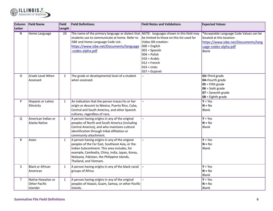

| Column                  | <b>Field Name</b>       | <b>Field</b>   | <b>Field Definitions</b>                                                                 | <b>Field Notes and Validations</b>        | <b>Expected Values</b>                  |
|-------------------------|-------------------------|----------------|------------------------------------------------------------------------------------------|-------------------------------------------|-----------------------------------------|
| Letter                  |                         | Length         |                                                                                          |                                           |                                         |
| $\overline{\mathsf{N}}$ | <b>Home Language</b>    | 20             | The name of the primary language or dialect that NOTE: languages shown in this field may |                                           | *Acceptable Language Code Values can be |
|                         |                         |                | students use to communicate at home. Refer to                                            | be limited to those on this list used for | located at this location:               |
|                         |                         |                | ISBE and Home Language Code List:                                                        | Video ISR creation:                       | https://www.isbe.net/Documents/lang     |
|                         |                         |                | https://www.isbe.net/Documents/language                                                  | $000 =$ English                           | uage-codes-alpha.pdf                    |
|                         |                         |                | -codes-alpha.pdf                                                                         | $001 =$ Spanish                           | Blank                                   |
|                         |                         |                |                                                                                          | $004 =$ Polish                            |                                         |
|                         |                         |                |                                                                                          | $010 =$ Arabic                            |                                         |
|                         |                         |                |                                                                                          | $012$ = French                            |                                         |
|                         |                         |                |                                                                                          | $033 = Urdu$                              |                                         |
|                         |                         |                |                                                                                          | 037 = Gujarati                            |                                         |
| 0                       | Grade Level When        | $\overline{2}$ | The grade or developmental level of a student                                            |                                           | 03=Third grade                          |
|                         | Assessed                |                | when assessed.                                                                           |                                           | 04=Fourth grade                         |
|                         |                         |                |                                                                                          |                                           | $05$ = Fifth grade                      |
|                         |                         |                |                                                                                          |                                           | $06 =$ Sixth grade                      |
|                         |                         |                |                                                                                          |                                           | $07$ = Seventh grade                    |
|                         |                         |                |                                                                                          |                                           | $08 =$ Eighth grade                     |
| P                       | Hispanic or Latino      | $\mathbf{1}$   | An indication that the person traces his or her                                          |                                           | $Y = Yes$                               |
|                         | Ethnicity               |                | origin or descent to Mexico, Puerto Rico, Cuba,                                          |                                           | $N = No$                                |
|                         |                         |                | Central and South America, and other Spanish                                             |                                           | <b>Blank</b>                            |
|                         |                         |                | cultures, regardless of race.                                                            |                                           |                                         |
| Q                       | American Indian or      | $\mathbf{1}$   | A person having origins in any of the original                                           |                                           | $Y = Yes$                               |
|                         | Alaska Native           |                | peoples of North and South America (including                                            |                                           | $N = No$                                |
|                         |                         |                | Central America), and who maintains cultural                                             |                                           | <b>Blank</b>                            |
|                         |                         |                | identification through tribal affiliation or                                             |                                           |                                         |
|                         |                         |                | community attachment.                                                                    |                                           |                                         |
| R                       | Asian                   | $\mathbf{1}$   | A person having origins in any of the original                                           | $\overline{a}$                            | $Y = Yes$                               |
|                         |                         |                | peoples of the Far East, Southeast Asia, or the                                          |                                           | $N = No$                                |
|                         |                         |                | Indian Subcontinent. This area includes, for                                             |                                           | <b>Blank</b>                            |
|                         |                         |                | example, Cambodia, China, India, Japan, Korea,                                           |                                           |                                         |
|                         |                         |                | Malaysia, Pakistan, the Philippine Islands,                                              |                                           |                                         |
|                         |                         |                | Thailand, and Vietnam.                                                                   |                                           |                                         |
| S.                      | <b>Black or African</b> | $\mathbf{1}$   | A person having origins in any of the black racial                                       |                                           | $Y = Yes$                               |
|                         | American                |                | groups of Africa.                                                                        |                                           | $N = No$                                |
|                         |                         |                |                                                                                          |                                           | <b>Blank</b>                            |
| T                       | Native Hawaiian or      | $\mathbf{1}$   | A person having origins in any of the original                                           |                                           | $Y = Yes$                               |
|                         | <b>Other Pacific</b>    |                | peoples of Hawaii, Guam, Samoa, or other Pacific                                         |                                           | $N = No$                                |
|                         | Islander                |                | Islands.                                                                                 |                                           | <b>Blank</b>                            |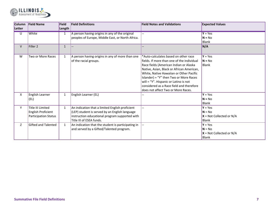

| <b>Column</b><br>Letter | <b>Field Name</b>          | Field<br>Length | <b>Field Definitions</b>                                                                           | <b>Field Notes and Validations</b>         | <b>Expected Values</b>     |
|-------------------------|----------------------------|-----------------|----------------------------------------------------------------------------------------------------|--------------------------------------------|----------------------------|
| $\overline{U}$          | White                      | $\mathbf{1}$    | A person having origins in any of the original<br>peoples of Europe, Middle East, or North Africa. |                                            | $Y = Yes$<br>$N = No$      |
|                         |                            |                 |                                                                                                    |                                            | <b>Blank</b>               |
| V                       | Filler <sub>2</sub>        | $\mathbf{1}$    | $\overline{\phantom{a}}$                                                                           |                                            | N/A                        |
| W                       | Two or More Races          | $\mathbf{1}$    | A person having origins in any of more than one                                                    | *Auto-calculates based on other race       | $Y = Yes$                  |
|                         |                            |                 | of the racial groups.                                                                              | fields. If more than one of the individual | $N = No$                   |
|                         |                            |                 |                                                                                                    | Race fields (American Indian or Alaska     | Blank                      |
|                         |                            |                 |                                                                                                    | Native, Asian, Black or African American,  |                            |
|                         |                            |                 |                                                                                                    | White, Native Hawaiian or Other Pacific    |                            |
|                         |                            |                 |                                                                                                    | Islander) = "Y" then Two or More Races     |                            |
|                         |                            |                 |                                                                                                    | will = "Y". Hispanic or Latino is not      |                            |
|                         |                            |                 |                                                                                                    | considered as a Race field and therefore   |                            |
|                         |                            |                 |                                                                                                    | does not affect Two or More Races.         |                            |
| X                       | English Learner            | $\mathbf{1}$    | English Learner (EL)                                                                               |                                            | $Y = Yes$                  |
|                         | (EL)                       |                 |                                                                                                    |                                            | $N = No$                   |
|                         |                            |                 |                                                                                                    |                                            | <b>Blank</b>               |
| Y                       | <b>Title III Limited</b>   | 1               | An indication that a limited English proficient                                                    |                                            | $Y = Yes$                  |
|                         | English Proficient         |                 | (LEP) student is served by an English language                                                     |                                            | $N = No$                   |
|                         | Participation Status       |                 | instruction educational program supported with                                                     |                                            | $X = Not$ Collected or N/A |
|                         |                            |                 | Title III of ESEA funds.                                                                           |                                            | <b>Blank</b>               |
| Z                       | <b>Gifted and Talented</b> | $\mathbf{1}$    | An indication that the student is participating in                                                 |                                            | $Y = Yes$                  |
|                         |                            |                 | and served by a Gifted/Talented program.                                                           |                                            | $N = No$                   |
|                         |                            |                 |                                                                                                    |                                            | $X = Not$ Collected or N/A |
|                         |                            |                 |                                                                                                    |                                            | <b>Blank</b>               |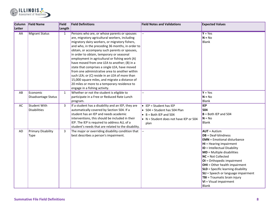

| Column    | <b>Field Name</b>         | Field        | <b>Field Definitions</b>                            | <b>Field Notes and Validations</b>             | <b>Expected Values</b>                     |
|-----------|---------------------------|--------------|-----------------------------------------------------|------------------------------------------------|--------------------------------------------|
| Letter    |                           | Length       |                                                     |                                                |                                            |
| <b>AA</b> | <b>Migrant Status</b>     | $\mathbf{1}$ | Persons who are, or whose parents or spouses        |                                                | $Y = Yes$<br>$N = No$                      |
|           |                           |              | are, migratory agricultural workers, including      |                                                |                                            |
|           |                           |              | migratory dairy workers, or migratory fishers,      |                                                | Blank                                      |
|           |                           |              | and who, in the preceding 36 months, in order to    |                                                |                                            |
|           |                           |              | obtain, or accompany such parents or spouses,       |                                                |                                            |
|           |                           |              | in order to obtain, temporary or seasonal           |                                                |                                            |
|           |                           |              | employment in agricultural or fishing work (A)      |                                                |                                            |
|           |                           |              | have moved from one LEA to another; (B) in a        |                                                |                                            |
|           |                           |              | state that comprises a single LEA, have moved       |                                                |                                            |
|           |                           |              | from one administrative area to another within      |                                                |                                            |
|           |                           |              | such LEA; or (C) reside in an LEA of more than      |                                                |                                            |
|           |                           |              | 15,000 square miles, and migrate a distance of      |                                                |                                            |
|           |                           |              | 20 miles or more to a temporary residence to        |                                                |                                            |
|           |                           |              | engage in a fishing activity.                       |                                                |                                            |
| AB        | Economic                  | $\mathbf{1}$ | Whether or not the student is eligible to           |                                                | $Y = Yes$                                  |
|           | Disadvantage Status       |              | participate in a Free or Reduced Rate Lunch         |                                                | $N = No$                                   |
|           |                           |              | program.                                            |                                                | Blank                                      |
| AC        | <b>Student With</b>       | 3            | If a student has a disability and an IEP, they are  | $\bullet$ IEP = Student has IEP                | <b>IEP</b>                                 |
|           | <b>Disabilities</b>       |              | automatically covered by Section 504. If a          | $\bullet$ 504 = Student has 504 Plan           | 504                                        |
|           |                           |              | student has an IEP and needs academic               | $\bullet$ B = Both IEP and 504                 | $B =$ Both IEP and 504                     |
|           |                           |              | interventions, this should be included in their     | $\bullet$ N = Student does not have IEP or 504 | $N = No$                                   |
|           |                           |              | IEP. The IEP is required to address ALL of a        | plan                                           | Blank                                      |
|           |                           |              | student's needs that are related to the disability. |                                                |                                            |
| AD        | <b>Primary Disability</b> | 3            | The major or overriding disability condition that   |                                                | $AUT =$ Autism                             |
|           | Type                      |              | best describes a person's impairment.               |                                                | $DB = Deaf-blindness$                      |
|           |                           |              |                                                     |                                                | <b>EMN</b> = Emotional disturbance         |
|           |                           |              |                                                     |                                                | <b>HI</b> = Hearing impairment             |
|           |                           |              |                                                     |                                                | ID = Intellectual Disability               |
|           |                           |              |                                                     |                                                | <b>MD</b> = Multiple disabilities          |
|           |                           |              |                                                     |                                                | NC = Not Collected                         |
|           |                           |              |                                                     |                                                | OI = Orthopedic impairment                 |
|           |                           |              |                                                     |                                                | <b>OHI</b> = Other health impairment       |
|           |                           |              |                                                     |                                                | <b>SLD</b> = Specific learning disability  |
|           |                           |              |                                                     |                                                | <b>SLI</b> = Speech or language impairment |
|           |                           |              |                                                     |                                                | TBI = Traumatic brain injury               |
|           |                           |              |                                                     |                                                | <b>VI</b> = Visual impairment              |
|           |                           |              |                                                     |                                                | Blank                                      |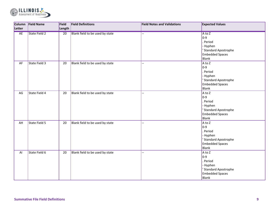

| Column | <b>Field Name</b>    | Field           | <b>Field Definitions</b>        | <b>Field Notes and Validations</b> | <b>Expected Values</b>                                                                                           |
|--------|----------------------|-----------------|---------------------------------|------------------------------------|------------------------------------------------------------------------------------------------------------------|
| Letter |                      | Length          |                                 |                                    |                                                                                                                  |
| AE     | <b>State Field 2</b> | $\overline{20}$ | Blank field to be used by state | $\overline{a}$                     | $A$ to $Z$<br>$ 0-9 $<br>. Period<br>- Hyphen<br>' Standard Apostrophe<br><b>Embedded Spaces</b><br><b>Blank</b> |
| AF     | State Field 3        | 20              | Blank field to be used by state |                                    | $A$ to Z<br>$ 0-9 $<br>. Period<br>- Hyphen<br>' Standard Apostrophe<br><b>Embedded Spaces</b><br><b>Blank</b>   |
| AG     | State Field 4        | 20              | Blank field to be used by state | $\overline{a}$                     | $A$ to Z<br>$ 0-9 $<br>. Period<br>- Hyphen<br>' Standard Apostrophe<br><b>Embedded Spaces</b><br>Blank          |
| AH     | State Field 5        | 20              | Blank field to be used by state | --                                 | $A$ to Z<br>$ 0-9 $<br>Period<br>- Hyphen<br>' Standard Apostrophe<br><b>Embedded Spaces</b><br>Blank            |
| AI     | State Field 6        | 20              | Blank field to be used by state | $-$                                | $A$ to Z<br>$ 0-9 $<br>Period<br>- Hyphen<br>' Standard Apostrophe<br><b>Embedded Spaces</b><br><b>Blank</b>     |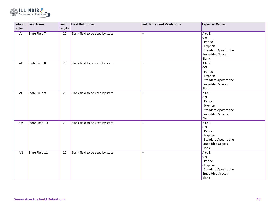

|                 | Column Field Name    | Field  | <b>Field Definitions</b>        | <b>Field Notes and Validations</b> | <b>Expected Values</b>          |
|-----------------|----------------------|--------|---------------------------------|------------------------------------|---------------------------------|
| Letter          |                      | Length |                                 |                                    |                                 |
| $\overline{AJ}$ | <b>State Field 7</b> | 20     | Blank field to be used by state | $\overline{\phantom{a}}$           | $A \text{ to } Z$               |
|                 |                      |        |                                 |                                    | $ 0-9 $                         |
|                 |                      |        |                                 |                                    | Period                          |
|                 |                      |        |                                 |                                    | - Hyphen                        |
|                 |                      |        |                                 |                                    | <b>Standard Apostrophe</b>      |
|                 |                      |        |                                 |                                    | <b>Embedded Spaces</b>          |
|                 |                      |        |                                 |                                    | <b>Blank</b>                    |
| AK              | State Field 8        | 20     | Blank field to be used by state | --                                 | $A$ to Z                        |
|                 |                      |        |                                 |                                    | $ 0-9 $                         |
|                 |                      |        |                                 |                                    | Period                          |
|                 |                      |        |                                 |                                    | - Hyphen                        |
|                 |                      |        |                                 |                                    | <b>Standard Apostrophe</b>      |
|                 |                      |        |                                 |                                    | <b>Embedded Spaces</b>          |
|                 |                      |        |                                 |                                    | <b>Blank</b>                    |
| AL              | State Field 9        | 20     | Blank field to be used by state | <u>.,</u>                          | $A$ to Z                        |
|                 |                      |        |                                 |                                    | $ 0-9 $                         |
|                 |                      |        |                                 |                                    | Period                          |
|                 |                      |        |                                 |                                    | - Hyphen                        |
|                 |                      |        |                                 |                                    | <b>Standard Apostrophe</b>      |
|                 |                      |        |                                 |                                    | <b>Embedded Spaces</b>          |
|                 |                      |        |                                 |                                    | <b>Blank</b>                    |
| AM              | State Field 10       | 20     | Blank field to be used by state | <u>.,</u>                          | $A$ to Z                        |
|                 |                      |        |                                 |                                    | $ 0-9 $                         |
|                 |                      |        |                                 |                                    | Period                          |
|                 |                      |        |                                 |                                    | - Hyphen                        |
|                 |                      |        |                                 |                                    | <b>Standard Apostrophe</b>      |
|                 |                      |        |                                 |                                    | <b>Embedded Spaces</b><br>Blank |
|                 |                      |        |                                 |                                    |                                 |
| AN              | State Field 11       | 20     | Blank field to be used by state | --                                 | $A \text{ to } Z$<br>$ 0-9 $    |
|                 |                      |        |                                 |                                    | Period                          |
|                 |                      |        |                                 |                                    |                                 |
|                 |                      |        |                                 |                                    | - Hyphen                        |
|                 |                      |        |                                 |                                    | <b>Standard Apostrophe</b>      |
|                 |                      |        |                                 |                                    | <b>Embedded Spaces</b>          |
|                 |                      |        |                                 |                                    | <b>Blank</b>                    |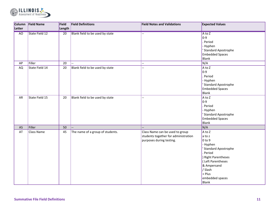

| Column    | <b>Field Name</b> | Field           | <b>Field Definitions</b>         | <b>Field Notes and Validations</b>   | <b>Expected Values</b>     |
|-----------|-------------------|-----------------|----------------------------------|--------------------------------------|----------------------------|
| Letter    |                   | Length          |                                  |                                      |                            |
| AO        | State Field 12    | $\overline{20}$ | Blank field to be used by state  | Ξ.                                   | A to Z                     |
|           |                   |                 |                                  |                                      | $ 0-9 $                    |
|           |                   |                 |                                  |                                      | Period                     |
|           |                   |                 |                                  |                                      | - Hyphen                   |
|           |                   |                 |                                  |                                      | <b>Standard Apostrophe</b> |
|           |                   |                 |                                  |                                      | <b>Embedded Spaces</b>     |
|           |                   |                 |                                  |                                      | <b>Blank</b>               |
| AP        | Filler            | 20              |                                  | $\overline{a}$                       | N/A                        |
| <b>AQ</b> | State Field 14    | 20              | Blank field to be used by state  | $\overline{\phantom{a}}$             | A to Z                     |
|           |                   |                 |                                  |                                      | $ 0-9 $                    |
|           |                   |                 |                                  |                                      | Period                     |
|           |                   |                 |                                  |                                      | - Hyphen                   |
|           |                   |                 |                                  |                                      | <b>Standard Apostrophe</b> |
|           |                   |                 |                                  |                                      | <b>Embedded Spaces</b>     |
|           |                   |                 |                                  |                                      | <b>Blank</b>               |
| AR        | State Field 15    | 20              | Blank field to be used by state  | $\overline{a}$                       | $A$ to $Z$                 |
|           |                   |                 |                                  |                                      | $ 0-9 $                    |
|           |                   |                 |                                  |                                      | Period                     |
|           |                   |                 |                                  |                                      | - Hyphen                   |
|           |                   |                 |                                  |                                      | <b>Standard Apostrophe</b> |
|           |                   |                 |                                  |                                      | <b>Embedded Spaces</b>     |
|           |                   |                 |                                  |                                      | <b>Blank</b>               |
| AS        | Filler            | 50              |                                  |                                      | N/A                        |
| AT        | Class Name        | 45              | The name of a group of students. | Class Name can be used to group      | A to Z                     |
|           |                   |                 |                                  | students together for administration | $\vert$ a to z             |
|           |                   |                 |                                  | purposes during testing.             | $0$ to 9                   |
|           |                   |                 |                                  |                                      | - Hyphen                   |
|           |                   |                 |                                  |                                      | <b>Standard Apostrophe</b> |
|           |                   |                 |                                  |                                      | Period                     |
|           |                   |                 |                                  |                                      | ) Right Parentheses        |
|           |                   |                 |                                  |                                      | (Left Parentheses          |
|           |                   |                 |                                  |                                      | & Ampersand<br>/ Slash     |
|           |                   |                 |                                  |                                      | $+$ Plus                   |
|           |                   |                 |                                  |                                      |                            |
|           |                   |                 |                                  |                                      | embedded spaces            |
|           |                   |                 |                                  |                                      | <b>Blank</b>               |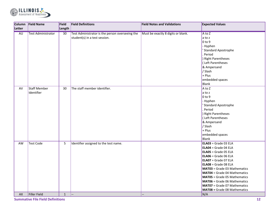

| Column    | <b>Field Name</b>         | Field           | <b>Field Definitions</b>                        | <b>Field Notes and Validations</b> | <b>Expected Values</b>              |
|-----------|---------------------------|-----------------|-------------------------------------------------|------------------------------------|-------------------------------------|
| Letter    |                           | Length          |                                                 |                                    |                                     |
| <b>AU</b> | <b>Test Administrator</b> | $\overline{30}$ | Test Administrator is the person overseeing the | Must be exactly 8 digits or blank. | $A$ to $Z$                          |
|           |                           |                 | student(s) in a test session.                   |                                    | $\vert$ a to z                      |
|           |                           |                 |                                                 |                                    | $0$ to 9                            |
|           |                           |                 |                                                 |                                    | - Hyphen                            |
|           |                           |                 |                                                 |                                    | <b>Standard Apostrophe</b>          |
|           |                           |                 |                                                 |                                    | Period                              |
|           |                           |                 |                                                 |                                    | Right Parentheses                   |
|           |                           |                 |                                                 |                                    | (Left Parentheses                   |
|           |                           |                 |                                                 |                                    | & Ampersand                         |
|           |                           |                 |                                                 |                                    | / Slash                             |
|           |                           |                 |                                                 |                                    | $+$ Plus                            |
|           |                           |                 |                                                 |                                    | embedded spaces                     |
|           |                           |                 |                                                 |                                    | Blank                               |
| AV        | <b>Staff Member</b>       | 30              | The staff member identifier.                    |                                    | $A$ to Z                            |
|           | Identifier                |                 |                                                 |                                    | $\vert$ a to z                      |
|           |                           |                 |                                                 |                                    | $0$ to 9                            |
|           |                           |                 |                                                 |                                    | - Hyphen                            |
|           |                           |                 |                                                 |                                    | <b>Standard Apostrophe</b>          |
|           |                           |                 |                                                 |                                    | Period                              |
|           |                           |                 |                                                 |                                    | Right Parentheses                   |
|           |                           |                 |                                                 |                                    | (Left Parentheses                   |
|           |                           |                 |                                                 |                                    | & Ampersand                         |
|           |                           |                 |                                                 |                                    | / Slash                             |
|           |                           |                 |                                                 |                                    | $+$ Plus                            |
|           |                           |                 |                                                 |                                    | embedded spaces                     |
|           |                           |                 |                                                 |                                    | Blank                               |
| AW        | <b>Test Code</b>          | 5               | Identifier assigned to the test name.           |                                    | ELA03 = Grade 03 ELA                |
|           |                           |                 |                                                 |                                    | $ELAO4 = Grade 04 ELA$              |
|           |                           |                 |                                                 |                                    | $ELAO5 = Grade O5 ELA$              |
|           |                           |                 |                                                 |                                    | $ELAO6 = Grade O6 ELA$              |
|           |                           |                 |                                                 |                                    | $ELAO7 = Grade 07 ELA$              |
|           |                           |                 |                                                 |                                    | $ELAO8 = Grade 08 ELA$              |
|           |                           |                 |                                                 |                                    | <b>MAT03</b> = Grade 03 Mathematics |
|           |                           |                 |                                                 |                                    | <b>MAT04</b> = Grade 04 Mathematics |
|           |                           |                 |                                                 |                                    | <b>MAT05</b> = Grade 05 Mathematics |
|           |                           |                 |                                                 |                                    | <b>MAT06</b> = Grade 06 Mathematics |
|           |                           |                 |                                                 |                                    | <b>MAT07</b> = Grade 07 Mathematics |
|           |                           |                 |                                                 |                                    | <b>MAT08</b> = Grade 08 Mathematics |
| AX        | Filler Field              | $\mathbf{1}$    |                                                 |                                    | N/A                                 |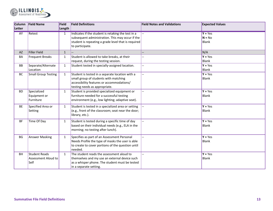

| Column    | <b>Field Name</b>          | Field        | <b>Field Definitions</b>                            | <b>Field Notes and Validations</b> | <b>Expected Values</b> |
|-----------|----------------------------|--------------|-----------------------------------------------------|------------------------------------|------------------------|
| Letter    |                            | Length       |                                                     |                                    |                        |
| <b>AY</b> | Retest                     | $\mathbf{1}$ | Indicates if the student is retaking the test in a  |                                    | $Y = Yes$              |
|           |                            |              | subsequent administration. This may occur if the    |                                    | $N = No$               |
|           |                            |              | student is repeating a grade level that is required |                                    | <b>Blank</b>           |
|           |                            |              | to participate.                                     |                                    |                        |
| AZ        | <b>Filler Field</b>        | $\mathbf{1}$ |                                                     |                                    | N/A                    |
| BA        | <b>Frequent Breaks</b>     | $\mathbf{1}$ | Student is allowed to take breaks, at their         |                                    | $Y = Yes$              |
|           |                            |              | request, during the testing session.                |                                    | <b>Blank</b>           |
| <b>BB</b> | Separate/Alternate         | $\mathbf{1}$ | Student tested in specially-assigned location.      |                                    | $Y = Yes$              |
|           | Location                   |              |                                                     |                                    | <b>Blank</b>           |
| BC        | <b>Small Group Testing</b> | $\mathbf{1}$ | Student is tested in a separate location with a     |                                    | $Y = Yes$              |
|           |                            |              | small group of students with matching               |                                    | <b>Blank</b>           |
|           |                            |              | accessibility features or accommodations/           |                                    |                        |
|           |                            |              | testing needs as appropriate.                       |                                    |                        |
| <b>BD</b> | Specialized                | 1            | Student is provided specialized equipment or        |                                    | $Y = Yes$              |
|           | Equipment or               |              | furniture needed for a successful testing           |                                    | <b>Blank</b>           |
|           | Furniture                  |              | environment (e.g., low lighting; adaptive seat).    |                                    |                        |
| <b>BE</b> | Specified Area or          | $\mathbf{1}$ | Student is tested in a specialized area or setting  |                                    | $Y = Yes$              |
|           | Setting                    |              | (e.g., front of the classroom; seat near the door;  |                                    | <b>Blank</b>           |
|           |                            |              | library, etc.).                                     |                                    |                        |
| <b>BF</b> | Time Of Day                | $\mathbf{1}$ | Student is tested during a specific time of day     |                                    | $Y = Yes$              |
|           |                            |              | based on their individual needs (e.g., ELA in the   |                                    | <b>Blank</b>           |
|           |                            |              | morning; no testing after lunch).                   |                                    |                        |
| BG        | <b>Answer Masking</b>      | $\mathbf{1}$ | Specifies as part of an Assessment Personal         |                                    | $Y = Yes$              |
|           |                            |              | Needs Profile the type of masks the user is able    |                                    | Blank                  |
|           |                            |              | to create to cover portions of the question until   |                                    |                        |
|           |                            |              | needed.                                             |                                    |                        |
| BH        | <b>Student Reads</b>       | $\mathbf{1}$ | The student reads the assessment aloud to           |                                    | $Y = Yes$              |
|           | Assessment Aloud to        |              | themselves and my use an external device such       |                                    | <b>Blank</b>           |
|           | Self                       |              | as a whisper phone. The student must be tested      |                                    |                        |
|           |                            |              | in a separate setting.                              |                                    |                        |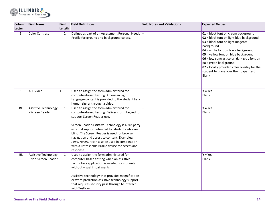

| Column<br>Letter | <b>Field Name</b>                                  | Field<br>Length | <b>Field Definitions</b>                                                                                                                                                                                                                                                                                                                                                                                                                           | <b>Field Notes and Validations</b> | <b>Expected Values</b>                                                                                                                                                                                                                                                                                                                                                                   |
|------------------|----------------------------------------------------|-----------------|----------------------------------------------------------------------------------------------------------------------------------------------------------------------------------------------------------------------------------------------------------------------------------------------------------------------------------------------------------------------------------------------------------------------------------------------------|------------------------------------|------------------------------------------------------------------------------------------------------------------------------------------------------------------------------------------------------------------------------------------------------------------------------------------------------------------------------------------------------------------------------------------|
| $\overline{BI}$  | <b>Color Contrast</b>                              | $\overline{2}$  | Defines as part of an Assessment Personal Needs  --<br>Profile foreground and background colors.                                                                                                                                                                                                                                                                                                                                                   |                                    | 01 = black font on cream background<br>02 = black font on light blue background<br>03 = black font on light magenta<br>background<br>04 = white font on black background<br>05 = yellow font on blue background<br>06 = low contrast color, dark gray font on<br>pale green background<br>07 = locally provided color overlay for the<br>student to place over their paper test<br>Blank |
| <b>BJ</b>        | <b>ASL Video</b>                                   | 1               | Used to assign the form administered for<br>computer-based testing. American Sign<br>Language content is provided to the student by a<br>human signer through a video.                                                                                                                                                                                                                                                                             |                                    | $Y = Yes$<br><b>Blank</b>                                                                                                                                                                                                                                                                                                                                                                |
| BK               | <b>Assistive Technology</b><br>- Screen Reader     | $\mathbf{1}$    | Used to assign the form administered for<br>computer-based testing. Delivers form tagged to<br>support Screen Reader use.<br>Screen Reader Assistive Technology is a 3rd party<br>external support intended for students who are<br>blind. The Screen Reader is used for browser<br>navigation and access to content. Examples:<br>Jaws, NVDA. It can also be used in combination<br>with a Refreshable Braille device for access and<br>response. |                                    | $Y = Yes$<br><b>Blank</b>                                                                                                                                                                                                                                                                                                                                                                |
| BL               | <b>Assistive Technology</b><br>- Non-Screen Reader | $\mathbf{1}$    | Used to assign the form administered for<br>computer-based testing when an assistive<br>technology application is needed for students<br>without visual impairments.<br>Assistive technology that provides magnification<br>or word prediction assistive technology support<br>that requires security pass through to interact<br>with TestNav.                                                                                                    |                                    | $Y = Yes$<br><b>Blank</b>                                                                                                                                                                                                                                                                                                                                                                |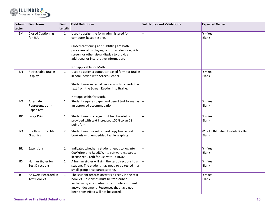

| Column    | <b>Field Name</b>                           | Field          | <b>Field Definitions</b>                                                                                                                                                                                                          | <b>Field Notes and Validations</b> | <b>Expected Values</b>                             |
|-----------|---------------------------------------------|----------------|-----------------------------------------------------------------------------------------------------------------------------------------------------------------------------------------------------------------------------------|------------------------------------|----------------------------------------------------|
| Letter    |                                             | Length         |                                                                                                                                                                                                                                   |                                    |                                                    |
| <b>BM</b> | <b>Closed Captioning</b><br>for ELA         | $\mathbf{1}$   | Used to assign the form administered for<br>computer-based testing.                                                                                                                                                               |                                    | $Y = Yes$<br>Blank                                 |
|           |                                             |                | Closed captioning and subtitling are both<br>processes of displaying text on a television, video                                                                                                                                  |                                    |                                                    |
|           |                                             |                | screen, or other visual display to provide<br>additional or interpretive information.                                                                                                                                             |                                    |                                                    |
|           |                                             |                | Not applicable for Math.                                                                                                                                                                                                          |                                    |                                                    |
| <b>BN</b> | Refreshable Braille<br>Display              | $\mathbf{1}$   | Used to assign a computer-based form for Braille --<br>in conjunction with Screen Reader.                                                                                                                                         |                                    | $Y = Yes$<br><b>Blank</b>                          |
|           |                                             |                | Student uses external device which converts the<br>text from the Screen Reader into Braille.                                                                                                                                      |                                    |                                                    |
|           |                                             |                | Not applicable for Math.                                                                                                                                                                                                          |                                    |                                                    |
| <b>BO</b> | Alternate<br>Representation -<br>Paper Test | $\mathbf{1}$   | Student requires paper and pencil test format as  --<br>an approved accommodation.                                                                                                                                                |                                    | $Y = Yes$<br><b>Blank</b>                          |
| <b>BP</b> | Large Print                                 | $\mathbf{1}$   | Student needs a large print test booklet is<br>provided with text increased 150% to an 18<br>point font.                                                                                                                          | --                                 | $Y = Yes$<br><b>Blank</b>                          |
| <b>BQ</b> | <b>Braille with Tactile</b><br>Graphics     | $\overline{2}$ | Student needs a set of hard copy braille test<br>booklets with embedded tactile graphics.                                                                                                                                         | Ξ.                                 | $01 = UEB/Unified English Braille$<br><b>Blank</b> |
| <b>BR</b> | Extensions                                  | $\mathbf{1}$   | Indicates whether a student needs to log into<br>Co: Writer and Read& Write software (separate<br>license required) for use with TestNav.                                                                                         |                                    | $Y = Yes$<br>Blank                                 |
| <b>BS</b> | Human Signer for<br><b>Test Directions</b>  | $\mathbf{1}$   | A human signer will sign the test directions to a<br>student. The student may need to be tested in a<br>small group or separate setting.                                                                                          |                                    | $Y = Yes$<br><b>Blank</b>                          |
| <b>BT</b> | Answers Recorded in<br><b>Test Booklet</b>  | $\mathbf{1}$   | The student records answers directly in the test<br>booklet. Responses must be transcribed<br>verbatim by a test administrator into a student<br>answer document. Responses that have not<br>been transcribed will not be scored. |                                    | $Y = Yes$<br><b>Blank</b>                          |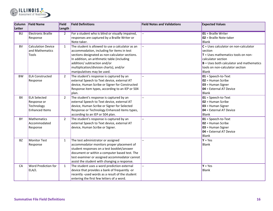

| <b>Column</b> | <b>Field Name</b>         | Field          | <b>Field Definitions</b>                         | <b>Field Notes and Validations</b> | <b>Expected Values</b>                     |
|---------------|---------------------------|----------------|--------------------------------------------------|------------------------------------|--------------------------------------------|
| Letter        |                           | Length         |                                                  |                                    |                                            |
| <b>BU</b>     | <b>Electronic Braille</b> | $\overline{2}$ | For a student who is blind or visually impaired, |                                    | 01 = Braille Writer                        |
|               | Response                  |                | responses are captured by a Braille Writer or    |                                    | 02 = Braille Note-taker                    |
|               |                           |                | Note-taker.                                      |                                    | <b>Blank</b>                               |
| <b>BV</b>     | <b>Calculation Device</b> | $\mathbf{1}$   | The student is allowed to use a calculator as an |                                    | $C =$ Uses calculator on non-calculator    |
|               | and Mathematics           |                | accommodation, including for items in test       |                                    | section                                    |
|               | Tools                     |                | sections designated as non-calculator sections.  |                                    | $T =$ Uses mathematics tools on non-       |
|               |                           |                | In addition, an arithmetic table (including      |                                    | calculator section                         |
|               |                           |                | addition/ subtraction and/or                     |                                    | $B =$ Uses both calculator and mathematics |
|               |                           |                | multiplication/division charts), and/or          |                                    | tools on non-calculator section            |
|               |                           |                | manipulatives may be used.                       |                                    | <b>Blank</b>                               |
| <b>BW</b>     | <b>ELA Constructed</b>    | $\overline{2}$ | The student's response is captured by an         |                                    | $01 =$ Speech-to-Text                      |
|               | Response                  |                | external Speech to Text device, external AT      |                                    | $02$ = Human Scribe                        |
|               |                           |                | device, Human Scribe or Signer for Constructed   |                                    | 03 = Human Signer                          |
|               |                           |                | Response item types, according to an IEP or 504  |                                    | 04 = External AT Device                    |
|               |                           |                | plan.                                            |                                    | <b>Blank</b>                               |
| BX            | <b>ELA Selected</b>       | $\overline{2}$ | The student's response is captured by an         | --                                 | $01 =$ Speech-to-Text                      |
|               | Response or               |                | external Speech to Text device, external AT      |                                    | $02$ = Human Scribe                        |
|               | Technology                |                | device, Human Scribe or Signer for Selected      |                                    | 03 = Human Signer                          |
|               | <b>Enhanced Items</b>     |                | Response or Technology Enhanced items types,     |                                    | 04 = External AT Device                    |
|               |                           |                | according to an IEP or 504 plan.                 |                                    | <b>Blank</b>                               |
| BY            | Mathematics               | $\overline{2}$ | The student's response is captured by an         |                                    | $01 =$ Speech-to-Text                      |
|               | Accommodated              |                | external Speech to Text device, external AT      |                                    | $02$ = Human Scribe                        |
|               | Response                  |                | device, Human Scribe or Signer.                  |                                    | 03 = Human Signer                          |
|               |                           |                |                                                  |                                    | 04 = External AT Device                    |
|               |                           |                |                                                  |                                    | <b>Blank</b>                               |
| <b>BZ</b>     | <b>Monitor Test</b>       | $\mathbf{1}$   | The test administrator or assigned               | $\overline{a}$                     | $Y = Yes$                                  |
|               | Response                  |                | accommodator monitors proper placement of        |                                    | <b>Blank</b>                               |
|               |                           |                | student responses on a test booklet/answer       |                                    |                                            |
|               |                           |                | document or within a computer based test. The    |                                    |                                            |
|               |                           |                | test examiner or assigned accommodator cannot    |                                    |                                            |
|               |                           |                | assist the student with changing a response.     |                                    |                                            |
| CA            | Word Prediction for       | $\mathbf{1}$   | The student uses a word prediction external      | --                                 | $Y = Yes$                                  |
|               | ELA/L                     |                | device that provides a bank of frequently -or    |                                    | <b>Blank</b>                               |
|               |                           |                | recently -used words as a result of the student  |                                    |                                            |
|               |                           |                | entering the first few letters of a word.        |                                    |                                            |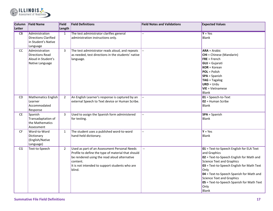

| Column<br><b>Letter</b> | <b>Field Name</b>                                                                | Field<br>Length | <b>Field Definitions</b>                                                                                                                                                                                                   | <b>Field Notes and Validations</b> | <b>Expected Values</b>                                                                                                                                                                                                                                                                                                                             |
|-------------------------|----------------------------------------------------------------------------------|-----------------|----------------------------------------------------------------------------------------------------------------------------------------------------------------------------------------------------------------------------|------------------------------------|----------------------------------------------------------------------------------------------------------------------------------------------------------------------------------------------------------------------------------------------------------------------------------------------------------------------------------------------------|
| $\overline{CB}$         | Administration<br><b>Directions Clarified</b><br>in Student's Native<br>Language | 1               | The test administrator clarifies general<br>administration instructions only.                                                                                                                                              |                                    | $Y = Yes$<br>Blank                                                                                                                                                                                                                                                                                                                                 |
| cc                      | Administration<br>Directions Read<br>Aloud in Student's<br>Native Language       | 3               | The test administrator reads aloud, and repeats<br>as needed, test directions in the students' native<br>language.                                                                                                         |                                    | $ARA = Arabic$<br><b>CHI</b> = Chinese (Mandarin)<br>$FRE = French$<br><b>GUJ</b> = Gujarati<br>$KOR = Korean$<br><b>POL</b> = Polish<br><b>SPA</b> = Spanish<br><b>TAG</b> = Tagalog<br>$URD = Urdu$<br><b>VIE</b> = Vietnamese<br>Blank                                                                                                          |
| <b>CD</b>               | Mathematics English<br>Learner<br>Accommodated<br>Response                       | $\overline{2}$  | An English Learner's response is captured by an<br>external Speech to Text device or Human Scribe.                                                                                                                         |                                    | $01 =$ Speech-to-Text<br>$02$ = Human Scribe<br>Blank                                                                                                                                                                                                                                                                                              |
| <b>CE</b>               | Spanish<br>Transadaptation of<br>the Mathematics<br>Assessment                   | 3               | Used to assign the Spanish form administered<br>for testing.                                                                                                                                                               |                                    | <b>SPA</b> = Spanish<br><b>Blank</b>                                                                                                                                                                                                                                                                                                               |
| <b>CF</b>               | Word-to-Word<br>Dictionary<br>(English/Native<br>Language)                       | 1               | The student uses a published word-to-word<br>hand-held dictionary.                                                                                                                                                         |                                    | $Y = Yes$<br><b>Blank</b>                                                                                                                                                                                                                                                                                                                          |
| CG                      | Text-to-Speech                                                                   | $\overline{2}$  | Used as part of an Assessment Personal Needs<br>Profile to define the type of material that should<br>be rendered using the read aloud alternative<br>content.<br>It is not intended to support students who are<br>blind. |                                    | 01 = Text-to-Speech English for ELA Text<br>and Graphics<br>02 = Text-to-Speech English for Math and<br><b>Science Text and Graphics</b><br>03 = Text-to-Speech English for Math Text<br>Only<br>04 = Text-to-Speech Spanish for Math and<br><b>Science Text and Graphics</b><br>05 = Text-to-Speech Spanish for Math Text<br>Only<br><b>Blank</b> |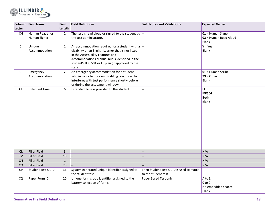

| Column           | <b>Field Name</b>        | Field          | <b>Field Definitions</b>                                                  | <b>Field Notes and Validations</b>      | <b>Expected Values</b>         |
|------------------|--------------------------|----------------|---------------------------------------------------------------------------|-----------------------------------------|--------------------------------|
| Letter           |                          | Length         |                                                                           |                                         |                                |
| CH               | Human Reader or          | $\overline{2}$ | The test is read aloud or signed to the student by $\left  \cdot \right $ |                                         | 01 = Human Signer              |
|                  | Human Signer             |                | the test administrator.                                                   |                                         | 02 = Human Read Aloud<br>Blank |
| CI               |                          |                | An accommodation required for a student with a $\left  \cdot \right $     |                                         | $Y = Yes$                      |
|                  | Unique<br>Accommodation  | $\mathbf{1}$   | disability or an English Learner that is not listed                       |                                         | <b>Blank</b>                   |
|                  |                          |                | in the Accessibility Features and                                         |                                         |                                |
|                  |                          |                | Accommodations Manual but is identified in the                            |                                         |                                |
|                  |                          |                | student's IEP, 504 or EL plan (if approved by the                         |                                         |                                |
|                  |                          |                | state).                                                                   |                                         |                                |
| CJ               | Emergency                | $\overline{2}$ | An emergency accommodation for a student                                  |                                         | $\boxed{01}$ = Human Scribe    |
|                  | Accommodation            |                | who incurs a temporary disabling condition that                           |                                         | $99 =$ Other                   |
|                  |                          |                | interferes with test performance shortly before                           |                                         | Blank                          |
|                  |                          |                | or during the assessment window.                                          |                                         |                                |
| ${\sf C}{\sf K}$ | <b>Extended Time</b>     | 6              | Extended Time is provided to the student.                                 | $-$                                     | EL.                            |
|                  |                          |                |                                                                           |                                         | <b>IEP504</b><br><b>Both</b>   |
|                  |                          |                |                                                                           |                                         | <b>Blank</b>                   |
|                  |                          |                |                                                                           |                                         |                                |
|                  |                          |                |                                                                           |                                         |                                |
|                  |                          |                |                                                                           |                                         |                                |
|                  |                          |                |                                                                           |                                         |                                |
|                  |                          |                |                                                                           |                                         |                                |
|                  |                          |                |                                                                           |                                         |                                |
|                  |                          |                |                                                                           |                                         |                                |
|                  |                          |                |                                                                           |                                         |                                |
|                  |                          |                |                                                                           |                                         |                                |
|                  |                          |                |                                                                           |                                         |                                |
| CL               | Filler Field             | $\overline{3}$ | Щ,                                                                        |                                         | N/A                            |
| <b>CM</b>        | Filler Field             | 18             |                                                                           |                                         | N/A                            |
| CN               | Filler Field             | $\mathbf 1$    |                                                                           |                                         | N/A                            |
| CO               | Filler Field             | 25             |                                                                           |                                         | N/A                            |
| CP               | <b>Student Test UUID</b> | 36             | System generated unique identifier assigned to                            | Then Student Test UUID is used to match |                                |
|                  |                          |                | the student test                                                          | to the student test.                    |                                |
| CQ               | Paper Form ID            | 20             | Unique form group identifier assigned to the                              | Paper Based Test only                   | $A$ to Z                       |
|                  |                          |                | battery collection of forms.                                              |                                         | 0 <sub>to 9</sub>              |
|                  |                          |                |                                                                           |                                         | No embedded spaces             |
|                  |                          |                |                                                                           |                                         | <b>Blank</b>                   |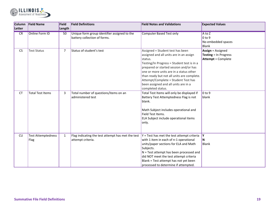

| Column<br>Letter | <b>Field Name</b>                 | Field<br>Length | <b>Field Definitions</b>                                                     | <b>Field Notes and Validations</b>                                                                                                                                                                                                                                                                                                                                          | <b>Expected Values</b>                                                                |
|------------------|-----------------------------------|-----------------|------------------------------------------------------------------------------|-----------------------------------------------------------------------------------------------------------------------------------------------------------------------------------------------------------------------------------------------------------------------------------------------------------------------------------------------------------------------------|---------------------------------------------------------------------------------------|
| CR               | <b>Online Form ID</b>             | 50              | Unique form group identifier assigned to the<br>battery collection of forms. | <b>Computer Based Test only</b>                                                                                                                                                                                                                                                                                                                                             | A to Z<br>0 <sub>to 9</sub><br>No embedded spaces<br><b>Blank</b>                     |
| <b>CS</b>        | <b>Test Status</b>                | 7               | Status of student's test                                                     | Assigned = Student test has been<br>assigned and all units are in an assign<br>status.<br>Testing/In Progress = Student test is in a<br>prepared or started session and/or has<br>one or more units are in a status other<br>than ready but not all units are complete.<br>Attempt/Complete = Student Test has<br>been assigned and all units are in a<br>completed status. | <b>Assign = Assigned</b><br><b>Testing = In Progress</b><br><b>Attempt = Complete</b> |
| <b>CT</b>        | <b>Total Test Items</b>           | 3               | Total number of questions/items on an<br>administered test                   | Total Test Items will only be displayed if<br>Battery Test Attemptedness Flag is not<br>blank.<br>Math Subject includes operational and<br>Field Test Items.<br>ELA Subject include operational items<br>only.                                                                                                                                                              | 0 <sub>to 9</sub><br>blank                                                            |
| <b>CU</b>        | <b>Test Attemptedness</b><br>Flag | 1               | Flag indicating the test attempt has met the test<br>attempt criteria.       | $Y = Test$ has met the test attempt criteria $Y$<br>with 1 item in each of n-1 operational<br>units/paper sections for ELA and Math<br>Subjects.<br>N = Test attempt has been processed and<br>did NOT meet the test attempt criteria<br>Blank = Test attempt has not yet been<br>processed to determine if attempted.                                                      | N<br><b>Blank</b>                                                                     |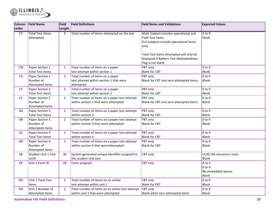

| <b>Column</b><br><b>Letter</b> | <b>Field Name</b>                    | Field<br>Length | <b>Field Definitions</b>                        | <b>Field Notes and Validations</b>                         | <b>Expected Values</b>             |
|--------------------------------|--------------------------------------|-----------------|-------------------------------------------------|------------------------------------------------------------|------------------------------------|
|                                |                                      |                 |                                                 |                                                            |                                    |
| $\overline{\text{cv}}$         | <b>Total Test Items</b><br>Attempted | 3               | Total number of items attempted on the test     | Math Subject includes operational and<br>Field Test Items. | 0 <sub>to</sub> 9<br>blank         |
|                                |                                      |                 |                                                 | ELA Subjects include operational items                     |                                    |
|                                |                                      |                 |                                                 | only.                                                      |                                    |
|                                |                                      |                 |                                                 |                                                            |                                    |
|                                |                                      |                 |                                                 | Total Test Items Attempted will only be                    |                                    |
|                                |                                      |                 |                                                 | displayed if Battery Test Attemptedness                    |                                    |
|                                |                                      |                 |                                                 | Flag is not blank.                                         |                                    |
| <b>CW</b>                      | Paper Section 1                      | $\overline{2}$  | Total number of items on a paper                | PBT only                                                   | 0 <sub>to 9</sub>                  |
|                                | <b>Total Test Items</b>              |                 | test attempt within section 1                   | <b>Blank for CBT</b>                                       | <b>Blank</b>                       |
| <b>CX</b>                      | Paper Section 1                      | $\overline{2}$  | Total number of items on a paper                | PBT only                                                   | $0$ to $9$                         |
|                                | Number of                            |                 | test attempt within section 1 that were         | Blank for CBT and zero attempted items                     | <b>Blank</b>                       |
|                                | Attempted Items                      |                 | attempted                                       |                                                            |                                    |
| <b>CY</b>                      | Paper Section 2                      | $\overline{2}$  | Total number of items on a paper                | PBT only                                                   | $0$ to 9                           |
|                                | <b>Total Test Items</b>              |                 | test attempt within section 2                   | <b>Blank for CBT</b>                                       | <b>Blank</b>                       |
| CZ                             | Paper Section 2                      | $\overline{2}$  | Total number of items on a paper test attempt   | PBT only                                                   | $0$ to $9$                         |
|                                | Number of                            |                 | within section 2 that were attempted            | Blank for CBT and zero attempted items                     | Blank                              |
|                                | Attempted Items                      |                 |                                                 |                                                            |                                    |
| DA                             | Paper Section 3                      | $\overline{2}$  | Total number of items on a paper test attempt   | PBT only                                                   | $0$ to 9                           |
|                                | <b>Total Test Items</b>              |                 | within section 3                                | <b>Blank for CBT</b>                                       | <b>Blank</b>                       |
| DB                             | Paper Section 3                      | $\overline{2}$  | Total number of items on a paper test attempt   | PBT only                                                   | $0$ to 9                           |
|                                | Number of                            |                 | within section 3 that were attempted            | <b>Blank for CBT</b>                                       | <b>Blank</b>                       |
|                                | Attempted Items                      |                 |                                                 |                                                            |                                    |
| DC                             | Paper Section 4                      | $\overline{2}$  | Total number of items on a paper test attempt   | PBT only                                                   | $0$ to 9                           |
|                                | <b>Total Test Items</b>              |                 | within section 4                                | <b>Blank for CBT</b>                                       | <b>Blank</b>                       |
| DD                             | Paper Section 4                      | $\overline{2}$  | Total number of items on a paper test attempt   | PBT only                                                   | $0$ to 9                           |
|                                | Number of                            |                 | within section 4 that were attempted            | <b>Blank for CBT</b>                                       | <b>Blank</b>                       |
|                                | Attempted Items                      |                 |                                                 |                                                            |                                    |
| DE                             | Student Unit 1 Test                  | 36              | System generated unique identifier assigned to  | CBT only                                                   | UUID (36 characters max)           |
|                                | <b>UUID</b>                          |                 | the student Unit test                           |                                                            | <b>Blank</b>                       |
| DF                             | Unit 1 Form ID                       | 20              | Form assigned                                   | CBT only                                                   | A to Z                             |
|                                |                                      |                 |                                                 |                                                            | $0$ to 9                           |
|                                |                                      |                 |                                                 |                                                            | No embedded spaces<br><b>Blank</b> |
|                                |                                      |                 | Total number of items on an online              |                                                            |                                    |
| DG.                            | Unit 1 Total Test                    | $\overline{2}$  | test attempt within unit 1                      | CBT only<br><b>Blank for PBT</b>                           | $0$ to 9<br>Blank                  |
| DH                             | Items<br>Unit 1 Number of            | $\overline{2}$  | Total number of items on an online test attempt | CBT only                                                   | 0 <sub>to 9</sub>                  |
|                                | Attempted Items                      |                 | within unit 1 that were attempted               | Blank when zero attempted items                            | Blank                              |
|                                |                                      |                 |                                                 |                                                            |                                    |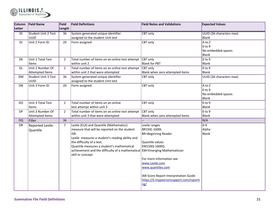

| Column          | <b>Field Name</b>          | Field          | <b>Field Definitions</b>                                                   | <b>Field Notes and Validations</b>      | <b>Expected Values</b>           |
|-----------------|----------------------------|----------------|----------------------------------------------------------------------------|-----------------------------------------|----------------------------------|
| Letter          |                            | Length         |                                                                            |                                         |                                  |
| $\overline{DI}$ | <b>Student Unit 2 Test</b> | 36             | System generated unique identifier                                         | <b>CBT</b> only                         | UUID (36 characters max)         |
|                 | <b>UUID</b>                |                | assigned to the student Unit test                                          |                                         | <b>Blank</b>                     |
| <b>DJ</b>       | Unit 2 Form ID             | 20             | Form assigned                                                              | CBT only                                | A to Z                           |
|                 |                            |                |                                                                            |                                         | $0$ to 9                         |
|                 |                            |                |                                                                            |                                         | No embedded spaces               |
|                 |                            |                |                                                                            |                                         | <b>Blank</b>                     |
| DK              | Unit 2 Total Test          | $\overline{2}$ | Total number of items on an online test attempt                            | CBT only                                | $0$ to $9$                       |
|                 | <b>Items</b>               |                | within unit 2                                                              | <b>Blank for PBT</b>                    | <b>Blank</b>                     |
| <b>DL</b>       | Unit 2 Number Of           | $\overline{2}$ | Total number of items on an online test attempt                            | CBT only                                | $0$ to 9                         |
|                 | Attempted Items            |                | within unit 2 that were attempted                                          | Blank when zero attempted items         | <b>Blank</b>                     |
| <b>DM</b>       | <b>Student Unit 3 Test</b> | 36             | System generated unique identifier                                         | CBT only                                | UUID (36 characters max)         |
|                 | <b>UUID</b>                |                | assigned to the student Unit test                                          |                                         |                                  |
| <b>DN</b>       | Unit 3 Form ID             | 20             | Form assigned                                                              | CBT only                                | A to Z                           |
|                 |                            |                |                                                                            |                                         | $0$ to $9$<br>No embedded spaces |
|                 |                            |                |                                                                            |                                         | <b>Blank</b>                     |
| DO.             | Unit 3 Total Test          | $\overline{2}$ | Total number of items on an online                                         | CBT only                                | $0$ to $9$                       |
|                 | <b>Items</b>               |                | test attempt within unit 3                                                 |                                         | <b>Blank</b>                     |
| <b>DP</b>       | Unit 3 Number Of           | $\overline{2}$ | Total number of items on an online test attempt                            | <b>CBT</b> only                         | $0$ to $9$                       |
|                 | <b>Attempted Items</b>     |                | within unit 3 that were attempted                                          | Blank when zero attempted items         | <b>Blank</b>                     |
| <b>DQ</b>       | Filler                     | 36             |                                                                            |                                         | N/A                              |
| DR              | Reported Lexile-           | $\overline{7}$ | Lexile (ELA) and Quantile (Mathematics)                                    | Lexile ranges                           | $0-9$                            |
|                 | Quantile                   |                | measure that will be reported on the student                               | BR150L-1600L                            | Alpha                            |
|                 |                            |                | ISR.                                                                       | <b>BR=Beginning Reader</b>              | <b>Blank</b>                     |
|                 |                            |                | Lexile measures a student's reading ability and                            |                                         |                                  |
|                 |                            |                | the difficulty of a text.                                                  | Quantile values                         |                                  |
|                 |                            |                | Quantile measures a student's mathematical                                 | EM150Q-1600Q                            |                                  |
|                 |                            |                | achievement and the difficulty of a mathematical EM=Emerging Mathematician |                                         |                                  |
|                 |                            |                | skill or concept.                                                          |                                         |                                  |
|                 |                            |                |                                                                            | For more information see                |                                  |
|                 |                            |                |                                                                            | www.Lexile.com                          |                                  |
|                 |                            |                |                                                                            | www.quantiles.com                       |                                  |
|                 |                            |                |                                                                            | IAR Score Report Interpretation Guide   |                                  |
|                 |                            |                |                                                                            | https://il.mypearsonsupport.com/reporti |                                  |
|                 |                            |                |                                                                            | ng/                                     |                                  |
|                 |                            |                |                                                                            |                                         |                                  |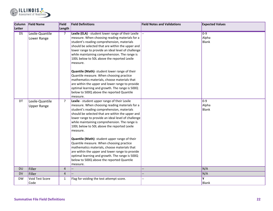

| <b>Column</b> | <b>Field Name</b>                     | Field          | <b>Field Definitions</b>                                                                                                                                                                                                                                                                                                                                                                                                                                                                                                                                                                                                                                                            | <b>Field Notes and Validations</b> | <b>Expected Values</b>           |
|---------------|---------------------------------------|----------------|-------------------------------------------------------------------------------------------------------------------------------------------------------------------------------------------------------------------------------------------------------------------------------------------------------------------------------------------------------------------------------------------------------------------------------------------------------------------------------------------------------------------------------------------------------------------------------------------------------------------------------------------------------------------------------------|------------------------------------|----------------------------------|
| Letter        |                                       | Length         |                                                                                                                                                                                                                                                                                                                                                                                                                                                                                                                                                                                                                                                                                     |                                    |                                  |
| DS            | Lexile-Quantile<br>Lower Range        | $\overline{7}$ | Lexile (ELA) - student lower range of their Lexile<br>measure. When choosing reading materials for a<br>student's reading comprehension, materials<br>should be selected that are within the upper and<br>lower range to provide an ideal level of challenge<br>while maintaining comprehension. The range is<br>100L below to 50L above the reported Lexile<br>measure.<br>Quantile (Math)- student lower range of their<br>Quantile measure. When choosing practice<br>mathematics materials, choose materials that<br>are within the upper and lower range to provide<br>optimal learning and growth. The range is 500Q<br>below to 500Q above the reported Quantile<br>measure. |                                    | $0 - 9$<br>Alpha<br><b>Blank</b> |
| DT            | Lexile-Quantile<br><b>Upper Range</b> | $\overline{7}$ | Lexile - student upper range of their Lexile<br>measure. When choosing reading materials for a<br>student's reading comprehension, materials<br>should be selected that are within the upper and<br>lower range to provide an ideal level of challenge<br>while maintaining comprehension. The range is<br>100L below to 50L above the reported Lexile<br>measure.<br>Quantile (Math)- student upper range of their<br>Quantile measure. When choosing practice<br>mathematics materials, choose materials that<br>are within the upper and lower range to provide<br>optimal learning and growth. The range is 500Q<br>below to 500Q above the reported Quantile<br>measure.       |                                    | $0-9$<br>Alpha<br><b>Blank</b>   |
| <b>DU</b>     | Filler                                | $\overline{4}$ |                                                                                                                                                                                                                                                                                                                                                                                                                                                                                                                                                                                                                                                                                     |                                    | N/A                              |
| <b>DV</b>     | Filler                                | $\overline{4}$ |                                                                                                                                                                                                                                                                                                                                                                                                                                                                                                                                                                                                                                                                                     |                                    | N/A                              |
| <b>DW</b>     | Void Test Score<br>Code               | $\mathbf{1}$   | Flag for voiding the test attempt score.                                                                                                                                                                                                                                                                                                                                                                                                                                                                                                                                                                                                                                            |                                    | Υ<br><b>Blank</b>                |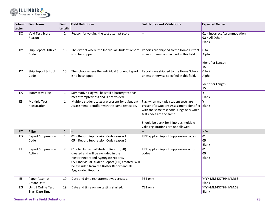

| <b>Column</b><br>Letter | <b>Field Name</b>                            | Field<br>Length | <b>Field Definitions</b>                                                                                                                                                                                                                            | <b>Field Notes and Validations</b>                                                                                                                                                                                                                  | <b>Expected Values</b>                                           |
|-------------------------|----------------------------------------------|-----------------|-----------------------------------------------------------------------------------------------------------------------------------------------------------------------------------------------------------------------------------------------------|-----------------------------------------------------------------------------------------------------------------------------------------------------------------------------------------------------------------------------------------------------|------------------------------------------------------------------|
| DX                      | <b>Void Test Score</b><br>Reason             | $\overline{2}$  | Reason for voiding the test attempt score.                                                                                                                                                                                                          |                                                                                                                                                                                                                                                     | 01 = Incorrect Accommodation<br>$02 = All Other$<br><b>Blank</b> |
| <b>DY</b>               | Ship Report District<br>Code                 | 15              | The district where the Individual Student Report<br>is to be shipped.                                                                                                                                                                               | Reports are shipped to the Home District<br>unless otherwise specified in this field.                                                                                                                                                               | $ 0 \text{ to } 9$<br>Alpha<br>Identifier Length:<br>15          |
| DZ                      | Ship Report School<br>Code                   | 15              | The school where the Individual Student Report<br>is to be shipped.                                                                                                                                                                                 | Reports are shipped to the Home School<br>unless otherwise specified in this field.                                                                                                                                                                 | $0$ to 9<br>Alpha<br>Identifier Length:<br>15                    |
| EA                      | <b>Summative Flag</b>                        | $\mathbf{1}$    | Summative Flag will be set if a battery test has<br>met attemptedness and is not voided.                                                                                                                                                            |                                                                                                                                                                                                                                                     | $\overline{\mathbf{Y}}$<br><b>Blank</b>                          |
| EB                      | <b>Multiple Test</b><br>Registration         | $\mathbf{1}$    | Multiple student tests are present for a Student<br>Assessment Identifier with the same test code.                                                                                                                                                  | Flag when multiple student tests are<br>present for Student Assessment Identifier Blank<br>with the same test code. Flags only when<br>test codes are the same.<br>Should be blank for Illinois as multiple<br>valid registrations are not allowed. | Y                                                                |
| $\mathsf{EC}$           | Filler                                       | $\mathbf{1}$    |                                                                                                                                                                                                                                                     |                                                                                                                                                                                                                                                     | N/A                                                              |
| ED                      | <b>Report Suppression</b><br>Code            | $\overline{2}$  | 01 = Report Suppression Code reason 1<br>05 = Report Suppression Code reason 5                                                                                                                                                                      | <b>ISBE applies Report Suppression codes</b>                                                                                                                                                                                                        | 01<br>05<br><b>Blank</b>                                         |
| EE.                     | <b>Report Suppression</b><br>Action          | $\overline{2}$  | $01$ = No Individual Student Report (ISR)<br>created and will be excluded in the<br>Roster Report and Aggregate reports.<br>05 = Individual Student Report (ISR) created. Will<br>be excluded from the Roster Report and all<br>Aggregated Reports. | <b>ISBE applies Report Suppression action</b><br>codes                                                                                                                                                                                              | 01<br>05<br><b>Blank</b>                                         |
| EF                      | Paper Attempt<br>Create Date                 | 19              | Date and time test attempt was created.                                                                                                                                                                                                             | PBT only                                                                                                                                                                                                                                            | YYYY-MM-DDTHH:MM:SS<br><b>Blank</b>                              |
| EG                      | Unit 1 Online Test<br><b>Start Date Time</b> | 19              | Date and time online testing started.                                                                                                                                                                                                               | CBT only                                                                                                                                                                                                                                            | YYYY-MM-DDTHH:MM:SS<br>Blank                                     |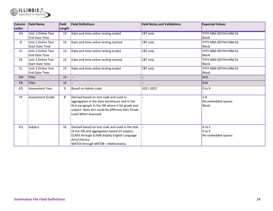

| Column<br>Letter | <b>Field Name</b>                            | Field<br>Length | <b>Field Definitions</b>                                                                                                                                                                                                 | <b>Field Notes and Validations</b> | <b>Expected Values</b>                      |
|------------------|----------------------------------------------|-----------------|--------------------------------------------------------------------------------------------------------------------------------------------------------------------------------------------------------------------------|------------------------------------|---------------------------------------------|
| <b>EH</b>        | Unit 1 Online Test<br><b>End Date Time</b>   | 19              | Date and time online testing ended                                                                                                                                                                                       | <b>CBT</b> only                    | YYYY-MM-DDTHH:MM:SS<br><b>Blank</b>         |
| EI               | Unit 2 Online Test<br><b>Start Date Time</b> | 19              | Date and time online testing started.                                                                                                                                                                                    | CBT only                           | YYYY-MM-DDTHH:MM:SS<br><b>Blank</b>         |
| EJ               | Unit 2 Online Test<br><b>End Date Time</b>   | 19              | Date and time online testing ended                                                                                                                                                                                       | CBT only                           | YYYY-MM-DDTHH:MM:SS<br><b>Blank</b>         |
| EK               | Unit 3 Online Test<br><b>Start Date Time</b> | 19              | Date and time online testing started.                                                                                                                                                                                    | CBT only                           | YYYY-MM-DDTHH:MM:SS<br><b>Blank</b>         |
| EL.              | Unit 3 Online Test<br><b>End Date Time</b>   | 19              | Date and time online testing ended                                                                                                                                                                                       | CBT only                           | YYYY-MM-DDTHH:MM:SS<br><b>Blank</b>         |
| <b>EM</b>        | Filler                                       | 19              |                                                                                                                                                                                                                          |                                    | N/A                                         |
| EN               | Filler                                       | 19              |                                                                                                                                                                                                                          |                                    | N/A                                         |
| EO               | <b>Assessment Year</b>                       | 9               | Based on Admin code                                                                                                                                                                                                      | 2021-2022                          | $0$ to 9                                    |
| EP               | Assessment Grade                             | 8               | Derived based on test code and used in<br>aggregation in the data warehouse and in the<br>first paragraph in the ISR where it list grade and<br>subject. Note this could be different then Grade<br>Level When Assessed. |                                    | $3-8$<br>No embedded spaces<br><b>Blank</b> |
| EQ               | Subject                                      | 35              | Derived based on test code and used in the text<br>of the ISR and aggregation based on subject.<br>ELA03 through ELA08 display English Language<br>Arts/Literacy<br>MAT03 through MAT08 = Mathematics                    |                                    | A to Z<br>$0$ to 9<br>No embedded spaces    |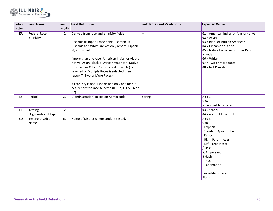

| Column | <b>Field Name</b>       | Field          | <b>Field Definitions</b>                          | <b>Field Notes and Validations</b> | <b>Expected Values</b>                 |
|--------|-------------------------|----------------|---------------------------------------------------|------------------------------------|----------------------------------------|
| Letter |                         | Length         |                                                   |                                    |                                        |
| ER     | <b>Federal Race</b>     | $\overline{2}$ | Derived from race and ethnicity fields            |                                    | 01 = American Indian or Alaska Native  |
|        | Ethnicity               |                |                                                   |                                    | $02 = Asian$                           |
|        |                         |                | Hispanic trumps all race fields. Example: if      |                                    | 03 = Black or African American         |
|        |                         |                | Hispanic and White are Yes only report Hispanic   |                                    | 04 = Hispanic or Latino                |
|        |                         |                | (4) in this field                                 |                                    | 05 = Native Hawaiian or other Pacific  |
|        |                         |                |                                                   |                                    | Islander                               |
|        |                         |                | f more than one race (American Indian or Alaska   |                                    | $06 = White$                           |
|        |                         |                | Native, Asian, Black or African American, Native  |                                    | $07 = Two$ or more races               |
|        |                         |                | Hawaiian or Other Pacific Islander, White) is     |                                    | 08 = Not Provided                      |
|        |                         |                | selected or Multiple Races is selected then       |                                    |                                        |
|        |                         |                | report 7 (Two or More Races)                      |                                    |                                        |
|        |                         |                | If Ethnicity is not Hispanic and only one race is |                                    |                                        |
|        |                         |                | Yes, report the race selected (01,02,03,05, 06 or |                                    |                                        |
|        |                         |                | 07)                                               |                                    |                                        |
| ES     | Period                  | 20             | (Administration) Based on Admin code              | Spring                             | A to Z                                 |
|        |                         |                |                                                   |                                    | $0$ to $9$                             |
|        |                         |                |                                                   |                                    | No embedded spaces                     |
| ET     | Testing                 | $\overline{2}$ | $\overline{\phantom{a}}$                          |                                    | $03 =$ school                          |
|        | Organizational Type     |                |                                                   |                                    | $104$ = non-public school              |
| EU     | <b>Testing District</b> | 60             | Name of District where student tested.            |                                    | A to Z                                 |
|        | Name                    |                |                                                   |                                    | $0$ to $9$                             |
|        |                         |                |                                                   |                                    | - Hyphen                               |
|        |                         |                |                                                   |                                    | <b>Standard Apostrophe</b>             |
|        |                         |                |                                                   |                                    | Period                                 |
|        |                         |                |                                                   |                                    | ) Right Parentheses                    |
|        |                         |                |                                                   |                                    | (Left Parentheses                      |
|        |                         |                |                                                   |                                    | / Slash                                |
|        |                         |                |                                                   |                                    | & Ampersand                            |
|        |                         |                |                                                   |                                    | # Hash                                 |
|        |                         |                |                                                   |                                    | $+$ Plus                               |
|        |                         |                |                                                   |                                    | ! Exclamation                          |
|        |                         |                |                                                   |                                    |                                        |
|        |                         |                |                                                   |                                    | <b>Embedded spaces</b><br><b>Blank</b> |
|        |                         |                |                                                   |                                    |                                        |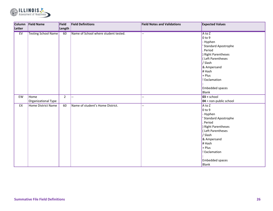

|        | Column Field Name           | Field          | <b>Field Definitions</b>             | <b>Field Notes and Validations</b> | <b>Expected Values</b>                                                                                                                                                                                               |
|--------|-----------------------------|----------------|--------------------------------------|------------------------------------|----------------------------------------------------------------------------------------------------------------------------------------------------------------------------------------------------------------------|
| Letter |                             | Length         |                                      |                                    |                                                                                                                                                                                                                      |
| EV     | <b>Testing School Name</b>  | 60             | Name of School where student tested. | $-$                                | $A$ to $Z$<br>$0$ to 9<br>- Hyphen<br><b>Standard Apostrophe</b><br>Period<br>Right Parentheses<br>(Left Parentheses<br>/ Slash<br>& Ampersand<br># Hash<br>+ Plus<br>! Exclamation<br><b>Embedded spaces</b>        |
| EW     | Home<br>Organizational Type | $\overline{2}$ | $\overline{\phantom{a}}$             | --                                 | Blank<br>$03 =$ school<br>$104$ = non-public school                                                                                                                                                                  |
| EX     | <b>Home District Name</b>   | 60             | Name of student's Home District.     | --                                 | $A$ to Z<br>$0$ to 9<br>- Hyphen<br><b>Standard Apostrophe</b><br>Period<br>Right Parentheses<br>(Left Parentheses<br>/ Slash<br>& Ampersand<br># Hash<br>+ Plus<br>! Exclamation<br><b>Embedded spaces</b><br>Blank |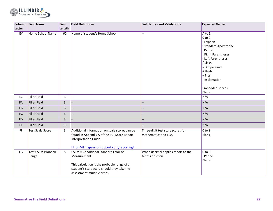

| Column        | <b>Field Name</b>                  | Field          | <b>Field Definitions</b>                                                                                                                                                                           | <b>Field Notes and Validations</b>                        | <b>Expected Values</b>                                                                                                                                                                                                         |
|---------------|------------------------------------|----------------|----------------------------------------------------------------------------------------------------------------------------------------------------------------------------------------------------|-----------------------------------------------------------|--------------------------------------------------------------------------------------------------------------------------------------------------------------------------------------------------------------------------------|
| Letter        |                                    | Length         |                                                                                                                                                                                                    |                                                           |                                                                                                                                                                                                                                |
| EY            | <b>Home School Name</b>            | 60             | Name of student's Home School.                                                                                                                                                                     |                                                           | $A$ to $Z$<br>0 <sub>to 9</sub><br>- Hyphen<br><b>Standard Apostrophe</b><br>Period<br>Right Parentheses<br>Left Parentheses<br>/ Slash<br>& Ampersand<br># Hash<br>+ Plus<br>! Exclamation<br><b>Embedded spaces</b><br>Blank |
| EZ            | Filler Field                       | 3              | $\overline{\phantom{0}}$                                                                                                                                                                           | Ξ.                                                        | N/A                                                                                                                                                                                                                            |
| FA            | Filler Field                       | $\overline{3}$ |                                                                                                                                                                                                    |                                                           | N/A                                                                                                                                                                                                                            |
| <b>FB</b>     | Filler Field                       | $\overline{3}$ |                                                                                                                                                                                                    |                                                           | N/A                                                                                                                                                                                                                            |
| ${\sf FC}$    | Filler Field                       | $\overline{3}$ |                                                                                                                                                                                                    |                                                           | N/A                                                                                                                                                                                                                            |
| <b>FD</b>     | <b>Filler Field</b>                | $\overline{3}$ |                                                                                                                                                                                                    |                                                           | N/A                                                                                                                                                                                                                            |
| $\mathsf{FE}$ | Filler Field                       | 10             |                                                                                                                                                                                                    |                                                           | N/A                                                                                                                                                                                                                            |
| FF            | <b>Test Scale Score</b>            | $\overline{3}$ | Additional information on scale scores can be<br>found in Appendix A of the IAR Score Report<br>Interpretation Guide<br>https://il.mypearsonsupport.com/reporting/                                 | Three-digit test scale scores for<br>mathematics and ELA. | $0$ to 9<br>Blank                                                                                                                                                                                                              |
| FG            | <b>Test CSEM Probable</b><br>Range | 5              | $\overline{\text{CSEM}}$ = Conditional Standard Error of<br>Measurement<br>This calculation is the probable range of a<br>student's scale score should they take the<br>assessment multiple times. | When decimal applies report to the<br>tenths position.    | $0$ to $9$<br>Period<br>Blank                                                                                                                                                                                                  |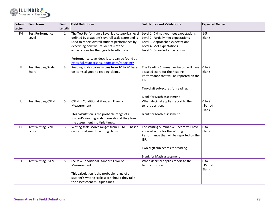

| <b>Column</b><br>Letter | <b>Field Name</b>                  | Field<br>Length | <b>Field Definitions</b>                                                                                                                                                                                                                                                                                                                     | <b>Field Notes and Validations</b>                                                                                                                                                                    | <b>Expected Values</b>               |
|-------------------------|------------------------------------|-----------------|----------------------------------------------------------------------------------------------------------------------------------------------------------------------------------------------------------------------------------------------------------------------------------------------------------------------------------------------|-------------------------------------------------------------------------------------------------------------------------------------------------------------------------------------------------------|--------------------------------------|
| FH                      | <b>Test Performance</b><br>Level   | $\mathbf{1}$    | The Test Performance Level is a categorical level<br>defined by a student's overall scale score and is<br>used to report overall student performance by<br>describing how well students met the<br>expectations for their grade level/course.<br>Performance Level descriptors can be found at<br>https://il.mypearsonsupport.com/reporting/ | Level 1: Did not yet meet expectations<br>Level 2: Partially met expectations<br>Level 3: Approached expectations<br>Level 4: Met expectations<br>Level 5: Exceeded expectations                      | $1-5$<br>Blank                       |
| F1                      | <b>Test Reading Scale</b><br>Score | 3               | Reading scale scores ranges from 10 to 90 based<br>on items aligned to reading claims.                                                                                                                                                                                                                                                       | The Reading Summative Record will have<br>a scaled score for the Reading<br>Performance that will be reported on the<br>ISR.<br>Two-digit sub-scores for reading.<br><b>Blank for Math assessment</b> | $ 0 \text{ to } 9$<br>Blank          |
| FJ                      | <b>Test Reading CSEM</b>           | 5               | CSEM = Conditional Standard Error of<br>Measurement<br>This calculation is the probable range of a<br>student's reading scale score should they take<br>the assessment multiple times.                                                                                                                                                       | When decimal applies report to the<br>tenths position.<br><b>Blank for Math assessment</b>                                                                                                            | $0$ to $9$<br>Period<br><b>Blank</b> |
| <b>FK</b>               | <b>Test Writing Scale</b><br>Score | 3               | Writing scale scores ranges from 10 to 60 based<br>on items aligned to writing claims.                                                                                                                                                                                                                                                       | The Writing Summative Record will have<br>a scaled score for the Writing<br>Performance that will be reported on the<br>ISR.<br>Two-digit sub-scores for reading.<br><b>Blank for Math assessment</b> | $0$ to $9$<br>Blank                  |
| FL                      | <b>Test Writing CSEM</b>           | 5               | CSEM = Conditional Standard Error of<br>Measurement<br>This calculation is the probable range of a<br>student's writing scale score should they take<br>the assessment multiple times.                                                                                                                                                       | When decimal applies report to the<br>tenths position.                                                                                                                                                | $0$ to $9$<br>Period<br><b>Blank</b> |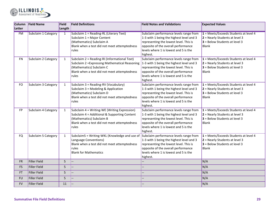

| <b>Column</b> | <b>Field Name</b>   | Field        | <b>Field Definitions</b>                                                                                                                                                            | <b>Field Notes and Validations</b>                                                                                                                                                                                       | <b>Expected Values</b>                                                                                                         |
|---------------|---------------------|--------------|-------------------------------------------------------------------------------------------------------------------------------------------------------------------------------------|--------------------------------------------------------------------------------------------------------------------------------------------------------------------------------------------------------------------------|--------------------------------------------------------------------------------------------------------------------------------|
| Letter        |                     | Length       |                                                                                                                                                                                     |                                                                                                                                                                                                                          |                                                                                                                                |
| <b>FM</b>     | Subclaim 1 Category | 1            | Subclaim 1 = Reading-RL (Literary Text)<br>Subclaim 1 = Major Content<br>(Mathematics) Subclaim A<br>Blank when a test did not meet attemptedness<br>rules                          | Subclaim performance levels range from<br>1-3 with 1 being the highest level and 3<br>representing the lowest level. This is<br>opposite of the overall performance<br>levels where 1 is lowest and 5 is the<br>highest. | 1 = Meets/Exceeds Students at level 4<br>$2$ = Nearly Students at level 3<br>$3$ = Below Students at level 3<br><b>Blank</b>   |
| <b>FN</b>     | Subclaim 2 Category | 1            | Subclaim 2 = Reading-RI (Informational Text)<br>Subclaim 2 = Expressing Mathematical Reasoning<br>(Mathematics) Subclaim C<br>Blank when a test did not meet attemptedness<br>rules | Subclaim performance levels range from<br>1-3 with 1 being the highest level and 3<br>representing the lowest level. This is<br>opposite of the overall performance<br>levels where 1 is lowest and 5 is the<br>highest. | $1 = Meets/Exceeds Students$ at level 4<br>$2$ = Nearly Students at level 3<br>$3$ = Below Students at level 3<br>Blank        |
| FO            | Subclaim 3 Category | $\mathbf{1}$ | Subclaim 3 = Reading-RV (Vocabulary)<br>Subclaim 3 = Modeling & Application<br>(Mathematics) Subclaim D<br>Blank when a test did not meet attemptedness<br>rules                    | Subclaim performance levels range from<br>1-3 with 1 being the highest level and 3<br>representing the lowest level. This is<br>opposite of the overall performance<br>levels where 1 is lowest and 5 is the<br>highest. | $1 = Meets/Exceeds Students$ at level 4<br>$2$ = Nearly Students at level 3<br>$3$ = Below Students at level 3<br>Blank        |
| FP            | Subclaim 4 Category | $\mathbf{1}$ | Subclaim $4 = Writing-WE$ (Writing Expression)<br>Subclaim 4 = Additional & Supporting Content<br>(Mathematics) Subclaim B<br>Blank when a test did not meet attemptedness<br>rules | Subclaim performance levels range from<br>1-3 with 1 being the highest level and 3<br>representing the lowest level. This is<br>opposite of the overall performance<br>levels where 1 is lowest and 5 is the<br>highest. | $1 = Meets/Exceeds Students$ at level 4<br>$2$ = Nearly Students at level 3<br>$3$ = Below Students at level 3<br><b>Blank</b> |
| <b>FQ</b>     | Subclaim 5 Category | $\mathbf{1}$ | Subclaim5 = Writing-WKL (Knowledge and use of<br>Language Conventions)<br>Blank when a test did not meet attemptedness<br>rules<br><b>Blank for Mathematics</b>                     | Subclaim performance levels range from<br>1-3 with 1 being the highest level and 3<br>representing the lowest level. This is<br>opposite of the overall performance<br>levels where 1 is lowest and 5 is the<br>highest. | $1 = Meets/Exceeds Students$ at level 4<br>2 = Nearly Students at level 3<br>$3$ = Below Students at level 3<br><b>Blank</b>   |
| <b>FR</b>     | <b>Filler Field</b> | 5            |                                                                                                                                                                                     |                                                                                                                                                                                                                          | N/A                                                                                                                            |
| FS            | <b>Filler Field</b> | 5            |                                                                                                                                                                                     |                                                                                                                                                                                                                          | N/A                                                                                                                            |
| <b>FT</b>     | <b>Filler Field</b> | 5            |                                                                                                                                                                                     |                                                                                                                                                                                                                          | N/A                                                                                                                            |
| <b>FU</b>     | <b>Filler Field</b> | 5            |                                                                                                                                                                                     |                                                                                                                                                                                                                          | N/A                                                                                                                            |
| <b>FV</b>     | <b>Filler Field</b> | 11           |                                                                                                                                                                                     |                                                                                                                                                                                                                          | N/A                                                                                                                            |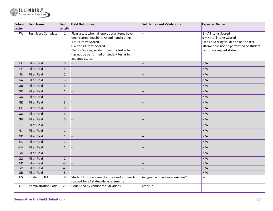

| Column    | <b>Field Name</b>          | Field          | <b>Field Definitions</b>                                                                     | <b>Field Notes and Validations</b>              | <b>Expected Values</b>                  |
|-----------|----------------------------|----------------|----------------------------------------------------------------------------------------------|-------------------------------------------------|-----------------------------------------|
| Letter    |                            | Length         |                                                                                              |                                                 |                                         |
| FW        | <b>Test Score Complete</b> | 1              | Flags a test when all operational items have                                                 | ωú,                                             | $1 =$ All items Scored                  |
|           |                            |                | been scored: machine, AI and handscoring.                                                    |                                                 | $\bullet$ = Not All items Scored        |
|           |                            |                | $1 =$ All items Scored                                                                       |                                                 | Blank = Scoring validation on the test  |
|           |                            |                | $0 = Not All items Score$                                                                    |                                                 | attempt has not be performed or student |
|           |                            |                | Blank = Scoring validation on the test attempt<br>has not be performed or student test is in |                                                 | test is in assigned status.             |
|           |                            |                | assigned status.                                                                             |                                                 |                                         |
| <b>FX</b> | <b>Filler Field</b>        | 5              |                                                                                              |                                                 | N/A                                     |
| FY        | <b>Filler Field</b>        | 5              |                                                                                              | --                                              | N/A                                     |
|           |                            |                |                                                                                              |                                                 |                                         |
| FZ        | Filler Field               | $\overline{2}$ |                                                                                              |                                                 | N/A                                     |
| GA        | <b>Filler Field</b>        | $\overline{3}$ |                                                                                              |                                                 | N/A                                     |
| GB        | <b>Filler Field</b>        | 3              |                                                                                              |                                                 | N/A                                     |
| GC        | <b>Filler Field</b>        | $\mathbf{1}$   |                                                                                              | <u>. .</u>                                      | N/A                                     |
| GD        | <b>Filler Field</b>        | $\mathbf{1}$   |                                                                                              | --                                              | N/A                                     |
| <b>GE</b> | <b>Filler Field</b>        | 3              |                                                                                              |                                                 | N/A                                     |
| GF        | <b>Filler Field</b>        | 5              |                                                                                              |                                                 | N/A                                     |
| GG        | <b>Filler Field</b>        | $\overline{3}$ |                                                                                              |                                                 | N/A                                     |
| GH        | <b>Filler Field</b>        | 5              |                                                                                              |                                                 | N/A                                     |
| GI        | <b>Filler Field</b>        | $\mathbf 1$    |                                                                                              |                                                 | N/A                                     |
| GJ        | <b>Filler Field</b>        | $\mathbf{1}$   |                                                                                              |                                                 | N/A                                     |
| GK        | <b>Filler Field</b>        | $1\,$          |                                                                                              |                                                 | N/A                                     |
| GL        | <b>Filler Field</b>        | $\mathbf{1}$   |                                                                                              |                                                 | N/A                                     |
| <b>GM</b> | <b>Filler Field</b>        | $\mathbf{1}$   |                                                                                              |                                                 | N/A                                     |
| GN        | <b>Filler Field</b>        | $1\,$          |                                                                                              |                                                 | N/A                                     |
| GO        | <b>Filler Field</b>        | $\overline{2}$ |                                                                                              |                                                 | N/A                                     |
| GP        | <b>Filler Field</b>        | 40             |                                                                                              |                                                 | N/A                                     |
| GQ        | <b>Filler Field</b>        | 40             |                                                                                              |                                                 | N/A                                     |
| GR        | <b>Filler Field</b>        | 5              |                                                                                              |                                                 | N/A                                     |
| GS        | Student UUID               | 36             | Student UUID assigned by the vendor to each<br>student for all statewide assessments.        | Assigned within PearsonAccess <sup>next</sup> . | $\overline{a}$                          |
| GT        | <b>Administration Code</b> | 20             | Code used by vendor for ISR videos                                                           | pcspr22                                         | $\overline{\phantom{a}}$                |